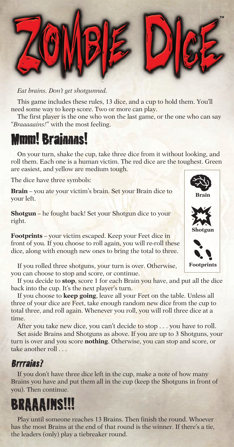

*Eat brains. Don't get shotgunned.*

This game includes these rules, 13 dice, and a cup to hold them. You'll need some way to keep score. Two or more can play.

The first player is the one who won the last game, or the one who can say "*Braaaaains!*" with the most feeling.

## Mmm! Brainnns!

On your turn, shake the cup, take three dice from it without looking, and roll them. Each one is a human victim. The red dice are the toughest. Green are easiest, and yellow are medium tough.

The dice have three symbols:

**Brain** – you ate your victim's brain. Set your Brain dice to your left.

**Shotgun** – he fought back! Set your Shotgun dice to your right.

**Footprints** – your victim escaped. Keep your Feet dice in front of you. If you choose to roll again, you will re-roll these dice, along with enough new ones to bring the total to three.

If you rolled three shotguns, your turn is over. Otherwise, you can choose to stop and score, or continue.

If you decide to **stop**, score 1 for each Brain you have, and put all the dice back into the cup. It's the next player's turn.

If you choose to **keep going**, leave all your Feet on the table. Unless all three of your dice are Feet, take enough random new dice from the cup to total three, and roll again. Whenever you roll, you will roll three dice at a time.

After you take new dice, you can't decide to stop . . . you have to roll.

Set aside Brains and Shotguns as above. If you are up to 3 Shotguns, your turn is over and you score **nothing**. Otherwise, you can stop and score, or take another roll . . .

## Brrrains?

If you don't have three dice left in the cup, make a note of how many Brains you have and put them all in the cup (keep the Shotguns in front of you). Then continue.

## **BRAAAINS!!!**

Play until someone reaches 13 Brains. Then finish the round. Whoever has the most Brains at the end of that round is the winner. If there's a tie, the leaders (only) play a tiebreaker round.